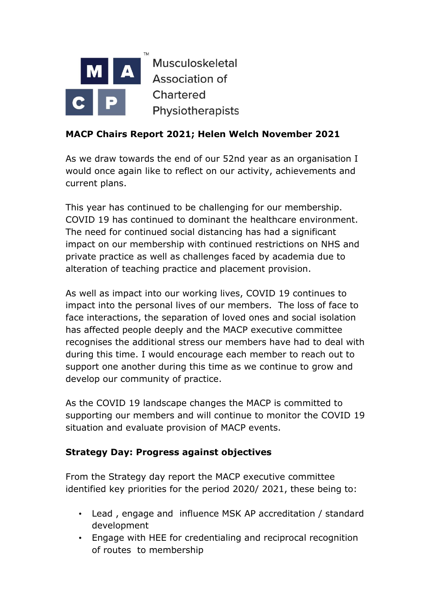

# **MACP Chairs Report 2021; Helen Welch November 2021**

As we draw towards the end of our 52nd year as an organisation I would once again like to reflect on our activity, achievements and current plans.

This year has continued to be challenging for our membership. COVID 19 has continued to dominant the healthcare environment. The need for continued social distancing has had a significant impact on our membership with continued restrictions on NHS and private practice as well as challenges faced by academia due to alteration of teaching practice and placement provision.

As well as impact into our working lives, COVID 19 continues to impact into the personal lives of our members. The loss of face to face interactions, the separation of loved ones and social isolation has affected people deeply and the MACP executive committee recognises the additional stress our members have had to deal with during this time. I would encourage each member to reach out to support one another during this time as we continue to grow and develop our community of practice.

As the COVID 19 landscape changes the MACP is committed to supporting our members and will continue to monitor the COVID 19 situation and evaluate provision of MACP events.

### **Strategy Day: Progress against objectives**

From the Strategy day report the MACP executive committee identified key priorities for the period 2020/ 2021, these being to:

- Lead , engage and influence MSK AP accreditation / standard development
- Engage with HEE for credentialing and reciprocal recognition of routes to membership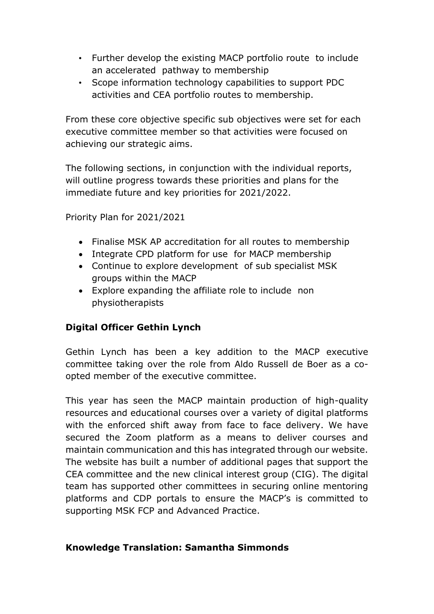- Further develop the existing MACP portfolio route to include an accelerated pathway to membership
- Scope information technology capabilities to support PDC activities and CEA portfolio routes to membership.

From these core objective specific sub objectives were set for each executive committee member so that activities were focused on achieving our strategic aims.

The following sections, in conjunction with the individual reports, will outline progress towards these priorities and plans for the immediate future and key priorities for 2021/2022.

Priority Plan for 2021/2021

- Finalise MSK AP accreditation for all routes to membership
- Integrate CPD platform for use for MACP membership
- Continue to explore development of sub specialist MSK groups within the MACP
- Explore expanding the affiliate role to include non physiotherapists

# **Digital Officer Gethin Lynch**

Gethin Lynch has been a key addition to the MACP executive committee taking over the role from Aldo Russell de Boer as a coopted member of the executive committee.

This year has seen the MACP maintain production of high-quality resources and educational courses over a variety of digital platforms with the enforced shift away from face to face delivery. We have secured the Zoom platform as a means to deliver courses and maintain communication and this has integrated through our website. The website has built a number of additional pages that support the CEA committee and the new clinical interest group (CIG). The digital team has supported other committees in securing online mentoring platforms and CDP portals to ensure the MACP's is committed to supporting MSK FCP and Advanced Practice.

### **Knowledge Translation: Samantha Simmonds**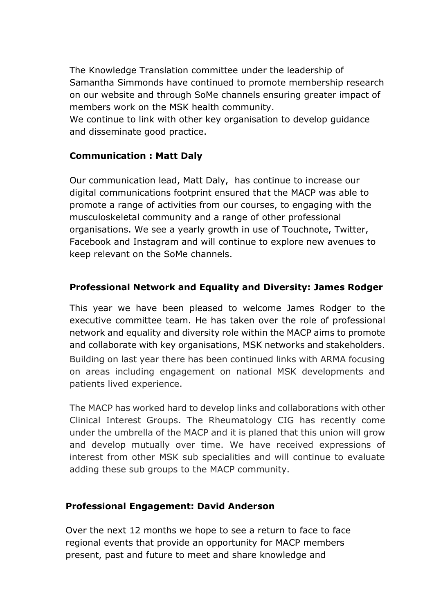The Knowledge Translation committee under the leadership of Samantha Simmonds have continued to promote membership research on our website and through SoMe channels ensuring greater impact of members work on the MSK health community.

We continue to link with other key organisation to develop guidance and disseminate good practice.

### **Communication : Matt Daly**

Our communication lead, Matt Daly, has continue to increase our digital communications footprint ensured that the MACP was able to promote a range of activities from our courses, to engaging with the musculoskeletal community and a range of other professional organisations. We see a yearly growth in use of Touchnote, Twitter, Facebook and Instagram and will continue to explore new avenues to keep relevant on the SoMe channels.

# **Professional Network and Equality and Diversity: James Rodger**

This year we have been pleased to welcome James Rodger to the executive committee team. He has taken over the role of professional network and equality and diversity role within the MACP aims to promote and collaborate with key organisations, MSK networks and stakeholders. Building on last year there has been continued links with ARMA focusing on areas including engagement on national MSK developments and patients lived experience.

The MACP has worked hard to develop links and collaborations with other Clinical Interest Groups. The Rheumatology CIG has recently come under the umbrella of the MACP and it is planed that this union will grow and develop mutually over time. We have received expressions of interest from other MSK sub specialities and will continue to evaluate adding these sub groups to the MACP community.

### **Professional Engagement: David Anderson**

Over the next 12 months we hope to see a return to face to face regional events that provide an opportunity for MACP members present, past and future to meet and share knowledge and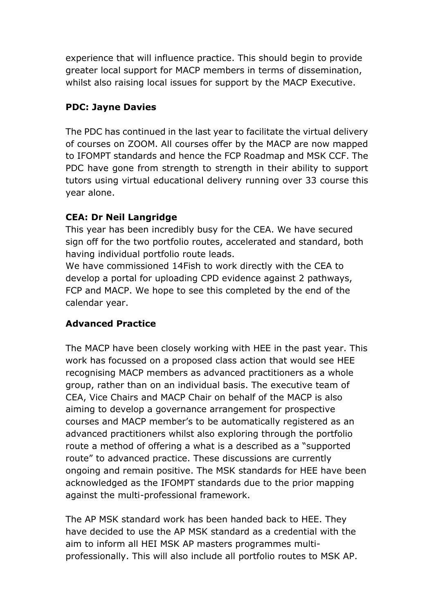experience that will influence practice. This should begin to provide greater local support for MACP members in terms of dissemination, whilst also raising local issues for support by the MACP Executive.

### **PDC: Jayne Davies**

The PDC has continued in the last year to facilitate the virtual delivery of courses on ZOOM. All courses offer by the MACP are now mapped to IFOMPT standards and hence the FCP Roadmap and MSK CCF. The PDC have gone from strength to strength in their ability to support tutors using virtual educational delivery running over 33 course this year alone.

# **CEA: Dr Neil Langridge**

This year has been incredibly busy for the CEA. We have secured sign off for the two portfolio routes, accelerated and standard, both having individual portfolio route leads.

We have commissioned 14Fish to work directly with the CEA to develop a portal for uploading CPD evidence against 2 pathways, FCP and MACP. We hope to see this completed by the end of the calendar year.

### **Advanced Practice**

The MACP have been closely working with HEE in the past year. This work has focussed on a proposed class action that would see HEE recognising MACP members as advanced practitioners as a whole group, rather than on an individual basis. The executive team of CEA, Vice Chairs and MACP Chair on behalf of the MACP is also aiming to develop a governance arrangement for prospective courses and MACP member's to be automatically registered as an advanced practitioners whilst also exploring through the portfolio route a method of offering a what is a described as a "supported route" to advanced practice. These discussions are currently ongoing and remain positive. The MSK standards for HEE have been acknowledged as the IFOMPT standards due to the prior mapping against the multi-professional framework.

The AP MSK standard work has been handed back to HEE. They have decided to use the AP MSK standard as a credential with the aim to inform all HEI MSK AP masters programmes multiprofessionally. This will also include all portfolio routes to MSK AP.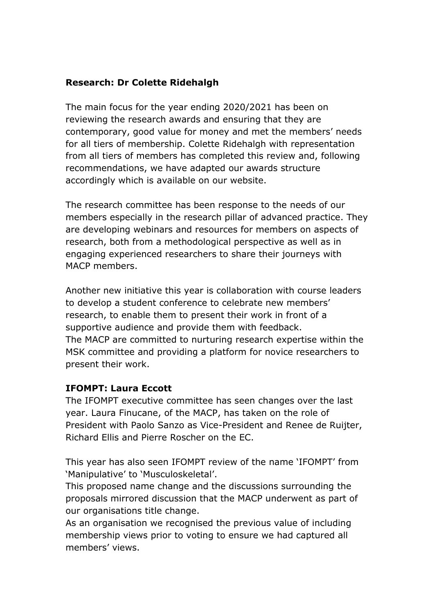### **Research: Dr Colette Ridehalgh**

The main focus for the year ending 2020/2021 has been on reviewing the research awards and ensuring that they are contemporary, good value for money and met the members' needs for all tiers of membership. Colette Ridehalgh with representation from all tiers of members has completed this review and, following recommendations, we have adapted our awards structure accordingly which is available on our website.

The research committee has been response to the needs of our members especially in the research pillar of advanced practice. They are developing webinars and resources for members on aspects of research, both from a methodological perspective as well as in engaging experienced researchers to share their journeys with MACP members.

Another new initiative this year is collaboration with course leaders to develop a student conference to celebrate new members' research, to enable them to present their work in front of a supportive audience and provide them with feedback. The MACP are committed to nurturing research expertise within the MSK committee and providing a platform for novice researchers to present their work.

### **IFOMPT: Laura Eccott**

The IFOMPT executive committee has seen changes over the last year. Laura Finucane, of the MACP, has taken on the role of President with Paolo Sanzo as Vice-President and Renee de Ruijter, Richard Ellis and Pierre Roscher on the EC.

This year has also seen IFOMPT review of the name 'IFOMPT' from 'Manipulative' to 'Musculoskeletal'.

This proposed name change and the discussions surrounding the proposals mirrored discussion that the MACP underwent as part of our organisations title change.

As an organisation we recognised the previous value of including membership views prior to voting to ensure we had captured all members' views.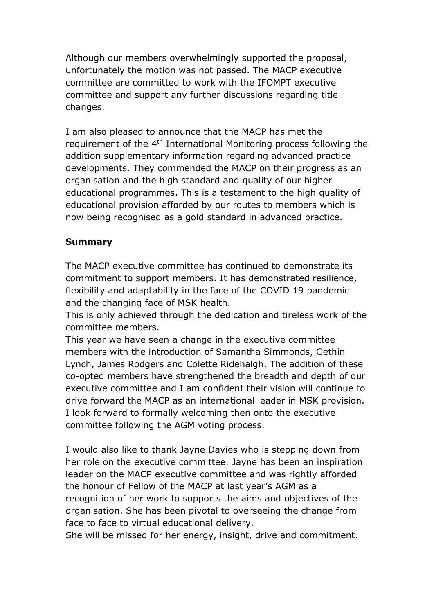Although our members overwhelmingly supported the proposal, unfortunately the motion was not passed. The MACP executive committee are committed to work with the IFOMPT executive committee and support any further discussions regarding title changes.

I am also pleased to announce that the MACP has met the requirement of the 4<sup>th</sup> International Monitoring process following the addition supplementary information regarding advanced practice developments. They commended the MACP on their progress as an organisation and the high standard and quality of our higher educational programmes. This is a testament to the high quality of educational provision afforded by our routes to members which is now being recognised as a gold standard in advanced practice.

# **Summary**

The MACP executive committee has continued to demonstrate its commitment to support members. It has demonstrated resilience, flexibility and adaptability in the face of the COVID 19 pandemic and the changing face of MSK health.

This is only achieved through the dedication and tireless work of the committee members.

This year we have seen a change in the executive committee members with the introduction of Samantha Simmonds, Gethin Lynch, James Rodgers and Colette Ridehalgh. The addition of these co-opted members have strengthened the breadth and depth of our executive committee and I am confident their vision will continue to drive forward the MACP as an international leader in MSK provision. I look forward to formally welcoming then onto the executive committee following the AGM voting process.

I would also like to thank Jayne Davies who is stepping down from her role on the executive committee. Jayne has been an inspiration leader on the MACP executive committee and was rightly afforded the honour of Fellow of the MACP at last year's AGM as a recognition of her work to supports the aims and objectives of the organisation. She has been pivotal to overseeing the change from face to face to virtual educational delivery.

She will be missed for her energy, insight, drive and commitment.